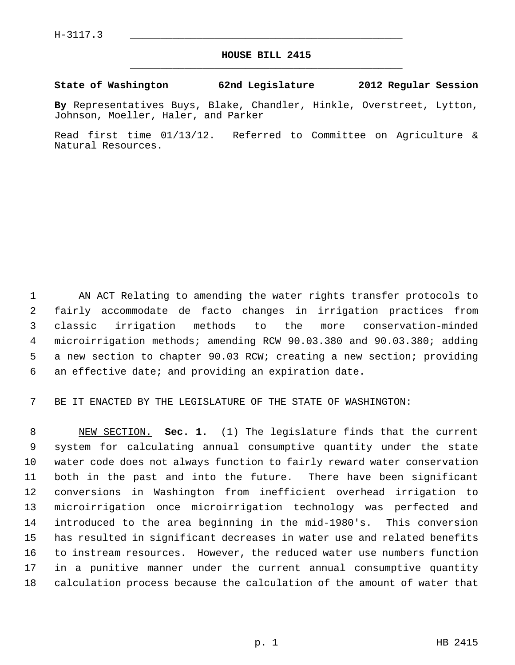## **HOUSE BILL 2415** \_\_\_\_\_\_\_\_\_\_\_\_\_\_\_\_\_\_\_\_\_\_\_\_\_\_\_\_\_\_\_\_\_\_\_\_\_\_\_\_\_\_\_\_\_

## **State of Washington 62nd Legislature 2012 Regular Session**

**By** Representatives Buys, Blake, Chandler, Hinkle, Overstreet, Lytton, Johnson, Moeller, Haler, and Parker

Read first time 01/13/12. Referred to Committee on Agriculture & Natural Resources.

 1 AN ACT Relating to amending the water rights transfer protocols to 2 fairly accommodate de facto changes in irrigation practices from 3 classic irrigation methods to the more conservation-minded 4 microirrigation methods; amending RCW 90.03.380 and 90.03.380; adding 5 a new section to chapter 90.03 RCW; creating a new section; providing 6 an effective date; and providing an expiration date.

7 BE IT ENACTED BY THE LEGISLATURE OF THE STATE OF WASHINGTON:

 8 NEW SECTION. **Sec. 1.** (1) The legislature finds that the current 9 system for calculating annual consumptive quantity under the state 10 water code does not always function to fairly reward water conservation 11 both in the past and into the future. There have been significant 12 conversions in Washington from inefficient overhead irrigation to 13 microirrigation once microirrigation technology was perfected and 14 introduced to the area beginning in the mid-1980's. This conversion 15 has resulted in significant decreases in water use and related benefits 16 to instream resources. However, the reduced water use numbers function 17 in a punitive manner under the current annual consumptive quantity 18 calculation process because the calculation of the amount of water that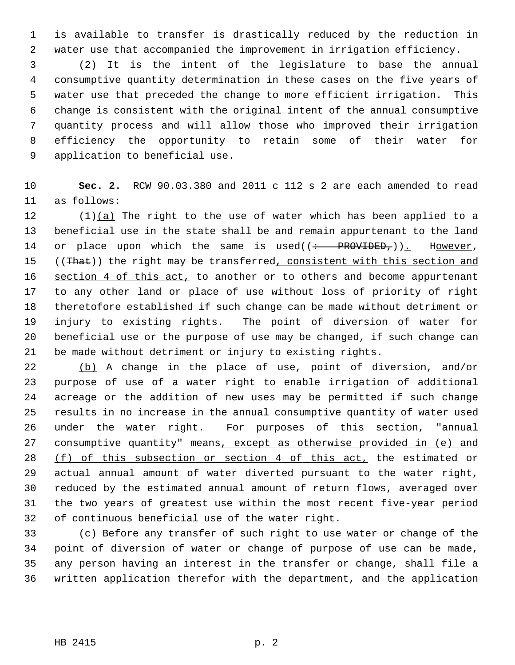1 is available to transfer is drastically reduced by the reduction in 2 water use that accompanied the improvement in irrigation efficiency.

 3 (2) It is the intent of the legislature to base the annual 4 consumptive quantity determination in these cases on the five years of 5 water use that preceded the change to more efficient irrigation. This 6 change is consistent with the original intent of the annual consumptive 7 quantity process and will allow those who improved their irrigation 8 efficiency the opportunity to retain some of their water for 9 application to beneficial use.

10 **Sec. 2.** RCW 90.03.380 and 2011 c 112 s 2 are each amended to read 11 as follows:

12 (1)(a) The right to the use of water which has been applied to a 13 beneficial use in the state shall be and remain appurtenant to the land 14 or place upon which the same is used( $\left(\frac{1}{1} + \frac{1}{1}P$ ROVIDED<sub>r</sub>)). However, 15 ((That)) the right may be transferred, consistent with this section and 16 section 4 of this act, to another or to others and become appurtenant 17 to any other land or place of use without loss of priority of right 18 theretofore established if such change can be made without detriment or 19 injury to existing rights. The point of diversion of water for 20 beneficial use or the purpose of use may be changed, if such change can 21 be made without detriment or injury to existing rights.

22 (b) A change in the place of use, point of diversion, and/or 23 purpose of use of a water right to enable irrigation of additional 24 acreage or the addition of new uses may be permitted if such change 25 results in no increase in the annual consumptive quantity of water used 26 under the water right. For purposes of this section, "annual 27 consumptive quantity" means, except as otherwise provided in (e) and 28 (f) of this subsection or section 4 of this act, the estimated or 29 actual annual amount of water diverted pursuant to the water right, 30 reduced by the estimated annual amount of return flows, averaged over 31 the two years of greatest use within the most recent five-year period 32 of continuous beneficial use of the water right.

33 (c) Before any transfer of such right to use water or change of the 34 point of diversion of water or change of purpose of use can be made, 35 any person having an interest in the transfer or change, shall file a 36 written application therefor with the department, and the application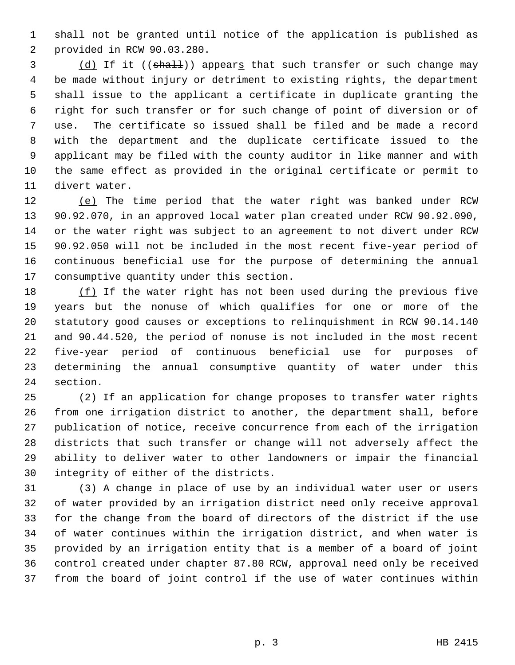1 shall not be granted until notice of the application is published as 2 provided in RCW 90.03.280.

3 (d) If it ((shall)) appears that such transfer or such change may 4 be made without injury or detriment to existing rights, the department 5 shall issue to the applicant a certificate in duplicate granting the 6 right for such transfer or for such change of point of diversion or of 7 use. The certificate so issued shall be filed and be made a record 8 with the department and the duplicate certificate issued to the 9 applicant may be filed with the county auditor in like manner and with 10 the same effect as provided in the original certificate or permit to 11 divert water.

12 (e) The time period that the water right was banked under RCW 13 90.92.070, in an approved local water plan created under RCW 90.92.090, 14 or the water right was subject to an agreement to not divert under RCW 15 90.92.050 will not be included in the most recent five-year period of 16 continuous beneficial use for the purpose of determining the annual 17 consumptive quantity under this section.

18 (f) If the water right has not been used during the previous five 19 years but the nonuse of which qualifies for one or more of the 20 statutory good causes or exceptions to relinquishment in RCW 90.14.140 21 and 90.44.520, the period of nonuse is not included in the most recent 22 five-year period of continuous beneficial use for purposes of 23 determining the annual consumptive quantity of water under this 24 section.

25 (2) If an application for change proposes to transfer water rights 26 from one irrigation district to another, the department shall, before 27 publication of notice, receive concurrence from each of the irrigation 28 districts that such transfer or change will not adversely affect the 29 ability to deliver water to other landowners or impair the financial 30 integrity of either of the districts.

31 (3) A change in place of use by an individual water user or users 32 of water provided by an irrigation district need only receive approval 33 for the change from the board of directors of the district if the use 34 of water continues within the irrigation district, and when water is 35 provided by an irrigation entity that is a member of a board of joint 36 control created under chapter 87.80 RCW, approval need only be received 37 from the board of joint control if the use of water continues within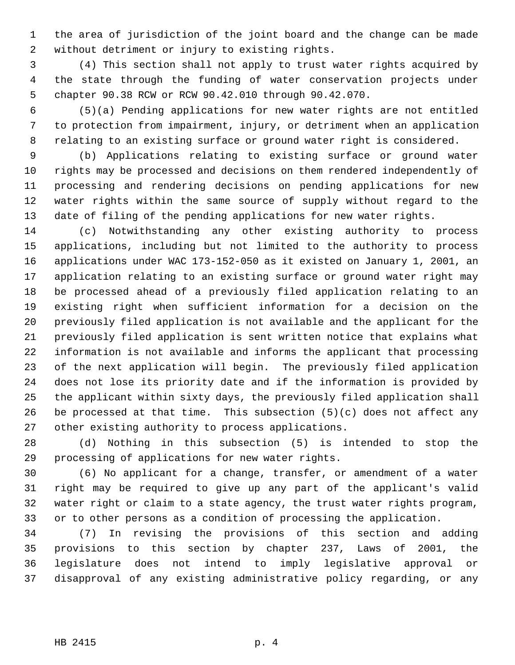1 the area of jurisdiction of the joint board and the change can be made 2 without detriment or injury to existing rights.

 3 (4) This section shall not apply to trust water rights acquired by 4 the state through the funding of water conservation projects under 5 chapter 90.38 RCW or RCW 90.42.010 through 90.42.070.

 6 (5)(a) Pending applications for new water rights are not entitled 7 to protection from impairment, injury, or detriment when an application 8 relating to an existing surface or ground water right is considered.

 9 (b) Applications relating to existing surface or ground water 10 rights may be processed and decisions on them rendered independently of 11 processing and rendering decisions on pending applications for new 12 water rights within the same source of supply without regard to the 13 date of filing of the pending applications for new water rights.

14 (c) Notwithstanding any other existing authority to process 15 applications, including but not limited to the authority to process 16 applications under WAC 173-152-050 as it existed on January 1, 2001, an 17 application relating to an existing surface or ground water right may 18 be processed ahead of a previously filed application relating to an 19 existing right when sufficient information for a decision on the 20 previously filed application is not available and the applicant for the 21 previously filed application is sent written notice that explains what 22 information is not available and informs the applicant that processing 23 of the next application will begin. The previously filed application 24 does not lose its priority date and if the information is provided by 25 the applicant within sixty days, the previously filed application shall 26 be processed at that time. This subsection  $(5)(c)$  does not affect any 27 other existing authority to process applications.

28 (d) Nothing in this subsection (5) is intended to stop the 29 processing of applications for new water rights.

30 (6) No applicant for a change, transfer, or amendment of a water 31 right may be required to give up any part of the applicant's valid 32 water right or claim to a state agency, the trust water rights program, 33 or to other persons as a condition of processing the application.

34 (7) In revising the provisions of this section and adding 35 provisions to this section by chapter 237, Laws of 2001, the 36 legislature does not intend to imply legislative approval or 37 disapproval of any existing administrative policy regarding, or any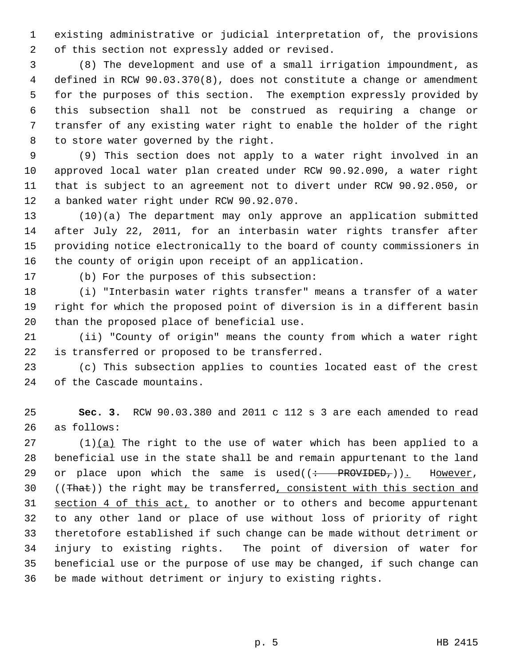1 existing administrative or judicial interpretation of, the provisions 2 of this section not expressly added or revised.

 3 (8) The development and use of a small irrigation impoundment, as 4 defined in RCW 90.03.370(8), does not constitute a change or amendment 5 for the purposes of this section. The exemption expressly provided by 6 this subsection shall not be construed as requiring a change or 7 transfer of any existing water right to enable the holder of the right 8 to store water governed by the right.

 9 (9) This section does not apply to a water right involved in an 10 approved local water plan created under RCW 90.92.090, a water right 11 that is subject to an agreement not to divert under RCW 90.92.050, or 12 a banked water right under RCW 90.92.070.

13 (10)(a) The department may only approve an application submitted 14 after July 22, 2011, for an interbasin water rights transfer after 15 providing notice electronically to the board of county commissioners in 16 the county of origin upon receipt of an application.

17 (b) For the purposes of this subsection:

18 (i) "Interbasin water rights transfer" means a transfer of a water 19 right for which the proposed point of diversion is in a different basin 20 than the proposed place of beneficial use.

21 (ii) "County of origin" means the county from which a water right 22 is transferred or proposed to be transferred.

23 (c) This subsection applies to counties located east of the crest 24 of the Cascade mountains.

25 **Sec. 3.** RCW 90.03.380 and 2011 c 112 s 3 are each amended to read 26 as follows:

 $27$  (1)(a) The right to the use of water which has been applied to a 28 beneficial use in the state shall be and remain appurtenant to the land 29 or place upon which the same is used( $\left( \div \text{ - }$  PROVIDED<sub>r</sub>)). However, 30 ((That)) the right may be transferred, consistent with this section and 31 section 4 of this act, to another or to others and become appurtenant 32 to any other land or place of use without loss of priority of right 33 theretofore established if such change can be made without detriment or 34 injury to existing rights. The point of diversion of water for 35 beneficial use or the purpose of use may be changed, if such change can 36 be made without detriment or injury to existing rights.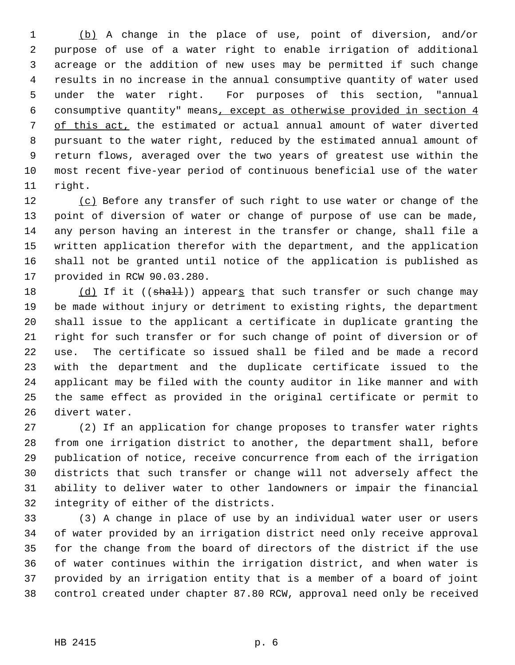1 (b) A change in the place of use, point of diversion, and/or 2 purpose of use of a water right to enable irrigation of additional 3 acreage or the addition of new uses may be permitted if such change 4 results in no increase in the annual consumptive quantity of water used 5 under the water right. For purposes of this section, "annual 6 consumptive quantity" means, except as otherwise provided in section 4 7 of this act, the estimated or actual annual amount of water diverted 8 pursuant to the water right, reduced by the estimated annual amount of 9 return flows, averaged over the two years of greatest use within the 10 most recent five-year period of continuous beneficial use of the water 11 right.

12 (c) Before any transfer of such right to use water or change of the 13 point of diversion of water or change of purpose of use can be made, 14 any person having an interest in the transfer or change, shall file a 15 written application therefor with the department, and the application 16 shall not be granted until notice of the application is published as 17 provided in RCW 90.03.280.

18 (d) If it  $((\text{shall}))$  appears that such transfer or such change may 19 be made without injury or detriment to existing rights, the department 20 shall issue to the applicant a certificate in duplicate granting the 21 right for such transfer or for such change of point of diversion or of 22 use. The certificate so issued shall be filed and be made a record 23 with the department and the duplicate certificate issued to the 24 applicant may be filed with the county auditor in like manner and with 25 the same effect as provided in the original certificate or permit to 26 divert water.

27 (2) If an application for change proposes to transfer water rights 28 from one irrigation district to another, the department shall, before 29 publication of notice, receive concurrence from each of the irrigation 30 districts that such transfer or change will not adversely affect the 31 ability to deliver water to other landowners or impair the financial 32 integrity of either of the districts.

33 (3) A change in place of use by an individual water user or users 34 of water provided by an irrigation district need only receive approval 35 for the change from the board of directors of the district if the use 36 of water continues within the irrigation district, and when water is 37 provided by an irrigation entity that is a member of a board of joint 38 control created under chapter 87.80 RCW, approval need only be received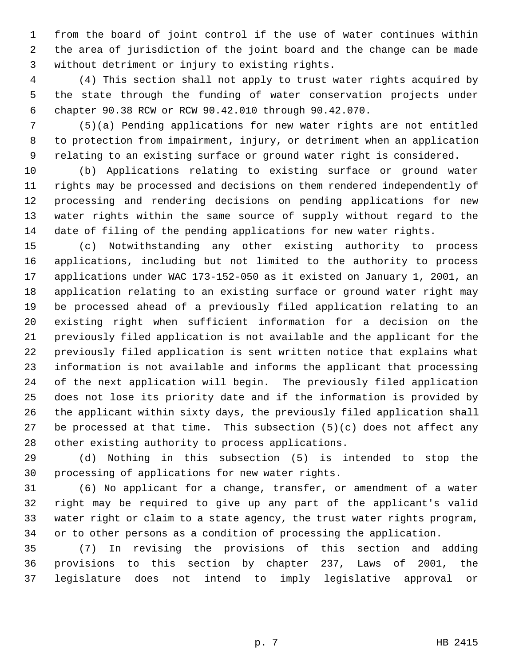1 from the board of joint control if the use of water continues within 2 the area of jurisdiction of the joint board and the change can be made 3 without detriment or injury to existing rights.

 4 (4) This section shall not apply to trust water rights acquired by 5 the state through the funding of water conservation projects under 6 chapter 90.38 RCW or RCW 90.42.010 through 90.42.070.

 7 (5)(a) Pending applications for new water rights are not entitled 8 to protection from impairment, injury, or detriment when an application 9 relating to an existing surface or ground water right is considered.

10 (b) Applications relating to existing surface or ground water 11 rights may be processed and decisions on them rendered independently of 12 processing and rendering decisions on pending applications for new 13 water rights within the same source of supply without regard to the 14 date of filing of the pending applications for new water rights.

15 (c) Notwithstanding any other existing authority to process 16 applications, including but not limited to the authority to process 17 applications under WAC 173-152-050 as it existed on January 1, 2001, an 18 application relating to an existing surface or ground water right may 19 be processed ahead of a previously filed application relating to an 20 existing right when sufficient information for a decision on the 21 previously filed application is not available and the applicant for the 22 previously filed application is sent written notice that explains what 23 information is not available and informs the applicant that processing 24 of the next application will begin. The previously filed application 25 does not lose its priority date and if the information is provided by 26 the applicant within sixty days, the previously filed application shall 27 be processed at that time. This subsection  $(5)(c)$  does not affect any 28 other existing authority to process applications.

29 (d) Nothing in this subsection (5) is intended to stop the 30 processing of applications for new water rights.

31 (6) No applicant for a change, transfer, or amendment of a water 32 right may be required to give up any part of the applicant's valid 33 water right or claim to a state agency, the trust water rights program, 34 or to other persons as a condition of processing the application.

35 (7) In revising the provisions of this section and adding 36 provisions to this section by chapter 237, Laws of 2001, the 37 legislature does not intend to imply legislative approval or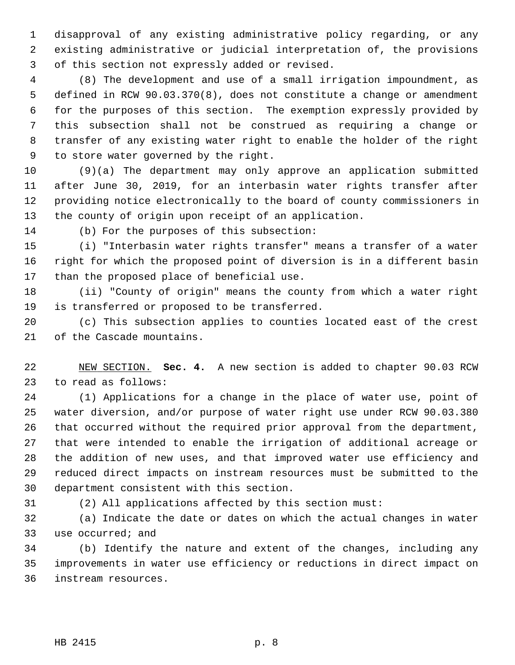1 disapproval of any existing administrative policy regarding, or any 2 existing administrative or judicial interpretation of, the provisions 3 of this section not expressly added or revised.

 4 (8) The development and use of a small irrigation impoundment, as 5 defined in RCW 90.03.370(8), does not constitute a change or amendment 6 for the purposes of this section. The exemption expressly provided by 7 this subsection shall not be construed as requiring a change or 8 transfer of any existing water right to enable the holder of the right 9 to store water governed by the right.

10 (9)(a) The department may only approve an application submitted 11 after June 30, 2019, for an interbasin water rights transfer after 12 providing notice electronically to the board of county commissioners in 13 the county of origin upon receipt of an application.

14 (b) For the purposes of this subsection:

15 (i) "Interbasin water rights transfer" means a transfer of a water 16 right for which the proposed point of diversion is in a different basin 17 than the proposed place of beneficial use.

18 (ii) "County of origin" means the county from which a water right 19 is transferred or proposed to be transferred.

20 (c) This subsection applies to counties located east of the crest 21 of the Cascade mountains.

22 NEW SECTION. **Sec. 4.** A new section is added to chapter 90.03 RCW 23 to read as follows:

24 (1) Applications for a change in the place of water use, point of 25 water diversion, and/or purpose of water right use under RCW 90.03.380 26 that occurred without the required prior approval from the department, 27 that were intended to enable the irrigation of additional acreage or 28 the addition of new uses, and that improved water use efficiency and 29 reduced direct impacts on instream resources must be submitted to the 30 department consistent with this section.

31 (2) All applications affected by this section must:

32 (a) Indicate the date or dates on which the actual changes in water 33 use occurred; and

34 (b) Identify the nature and extent of the changes, including any 35 improvements in water use efficiency or reductions in direct impact on 36 instream resources.